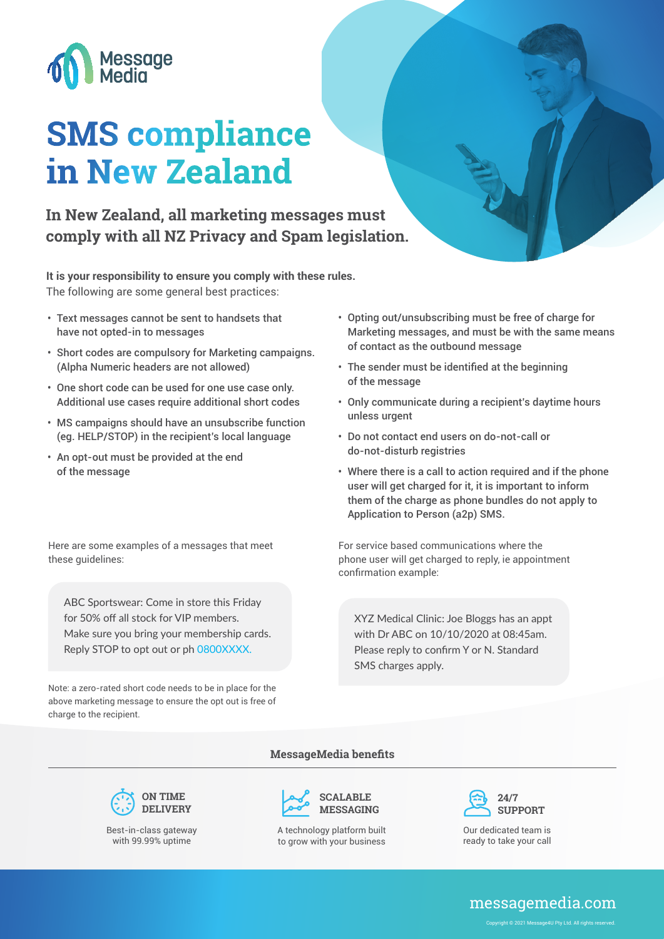

# **SMS compliance in New Zealand**

# **In New Zealand, all marketing messages must comply with all NZ Privacy and Spam legislation.**

**It is your responsibility to ensure you comply with these rules.**  The following are some general best practices:

- Text messages cannot be sent to handsets that have not opted-in to messages
- Short codes are compulsory for Marketing campaigns. (Alpha Numeric headers are not allowed)
- One short code can be used for one use case only. Additional use cases require additional short codes
- MS campaigns should have an unsubscribe function (eg. HELP/STOP) in the recipient's local language
- An opt-out must be provided at the end of the message

Here are some examples of a messages that meet these guidelines:

ABC Sportswear: Come in store this Friday for 50% off all stock for VIP members. Make sure you bring your membership cards. Reply STOP to opt out or ph 0800XXXX.

Note: a zero-rated short code needs to be in place for the above marketing message to ensure the opt out is free of charge to the recipient.

- Opting out/unsubscribing must be free of charge for Marketing messages, and must be with the same means of contact as the outbound message
- The sender must be identified at the beginning of the message
- Only communicate during a recipient's daytime hours unless urgent
- Do not contact end users on do-not-call or do-not-disturb registries
- Where there is a call to action required and if the phone user will get charged for it, it is important to inform them of the charge as phone bundles do not apply to Application to Person (a2p) SMS.

For service based communications where the phone user will get charged to reply, ie appointment confirmation example:

XYZ Medical Clinic: Joe Bloggs has an appt with Dr ABC on 10/10/2020 at 08:45am. Please reply to confirm Y or N. Standard SMS charges apply.







**MessageMedia benefits**

A technology platform built to grow with your business



Our dedicated team is ready to take your call

# messagemedia.com

right © 2021 Message4U Ptv Ltd. All rights reserved.